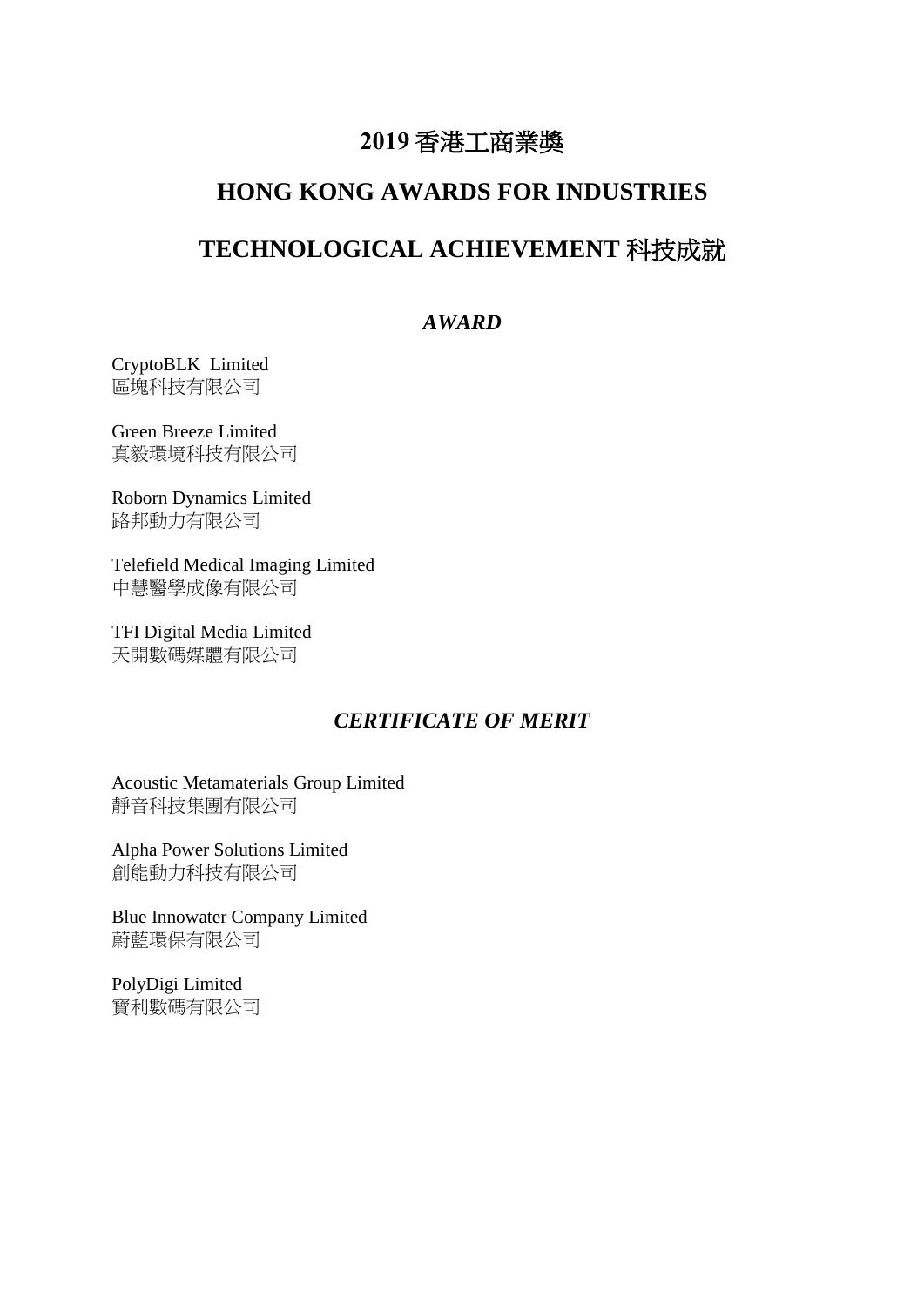# **2019** 香港工商業獎

## **HONG KONG AWARDS FOR INDUSTRIES**

## **TECHNOLOGICAL ACHIEVEMENT** 科技成就

## *AWARD*

CryptoBLK Limited 區塊科技有限公司

Green Breeze Limited 真毅環境科技有限公司

Roborn Dynamics Limited 路邦動力有限公司

Telefield Medical Imaging Limited 中慧醫學成像有限公司

TFI Digital Media Limited 天開數碼媒體有限公司

## *CERTIFICATE OF MERIT*

Acoustic Metamaterials Group Limited 靜音科技集團有限公司

Alpha Power Solutions Limited 創能動力科技有限公司

Blue Innowater Company Limited 蔚藍環保有限公司

PolyDigi Limited 寶利數碼有限公司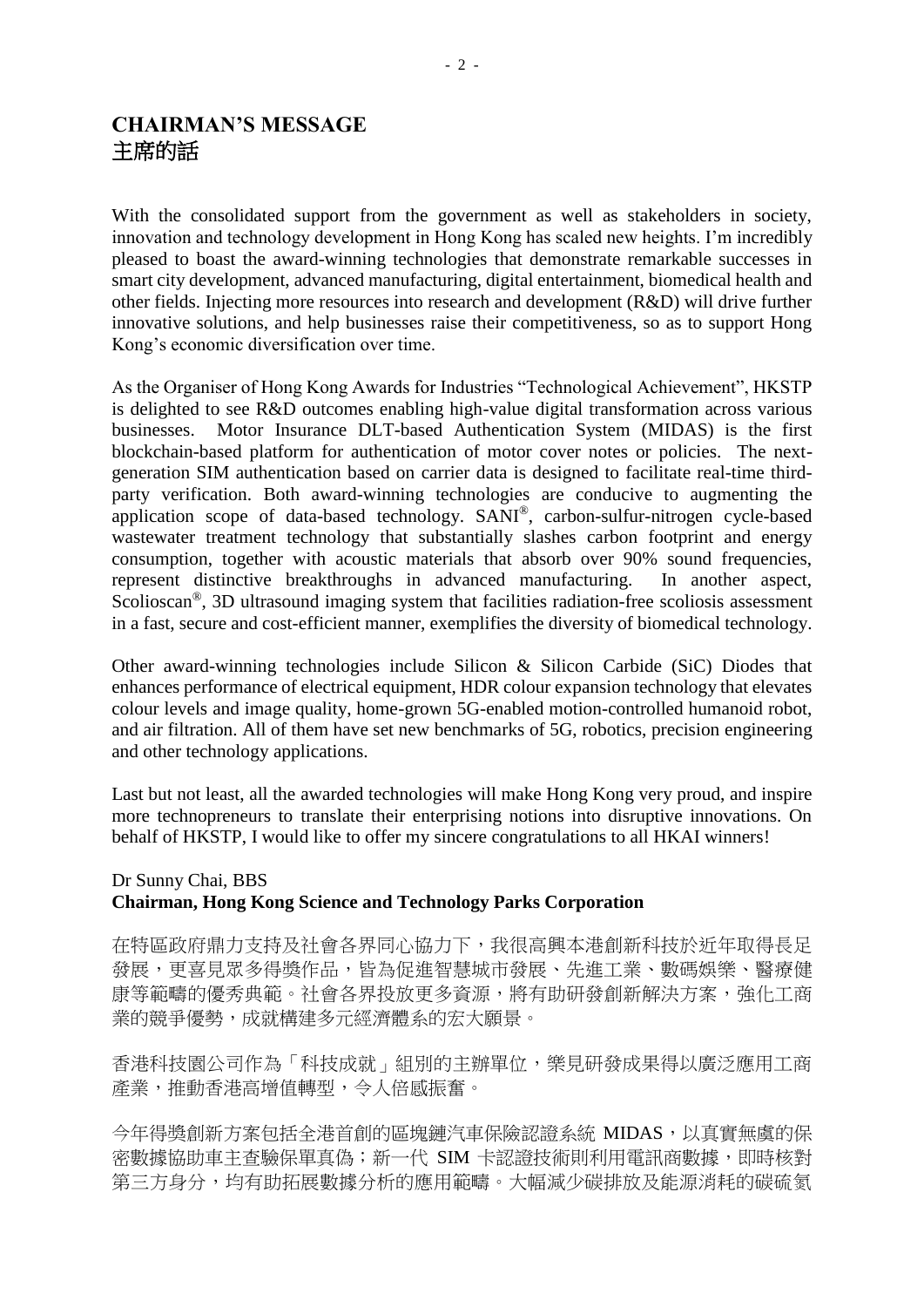## **CHAIRMAN'S MESSAGE** 主席的話

With the consolidated support from the government as well as stakeholders in society, innovation and technology development in Hong Kong has scaled new heights. I'm incredibly pleased to boast the award-winning technologies that demonstrate remarkable successes in smart city development, advanced manufacturing, digital entertainment, biomedical health and other fields. Injecting more resources into research and development (R&D) will drive further innovative solutions, and help businesses raise their competitiveness, so as to support Hong Kong's economic diversification over time.

As the Organiser of Hong Kong Awards for Industries "Technological Achievement", HKSTP is delighted to see R&D outcomes enabling high-value digital transformation across various businesses. Motor Insurance DLT-based Authentication System (MIDAS) is the first blockchain-based platform for authentication of motor cover notes or policies. The nextgeneration SIM authentication based on carrier data is designed to facilitate real-time thirdparty verification. Both award-winning technologies are conducive to augmenting the application scope of data-based technology. SANI® , carbon-sulfur-nitrogen cycle-based wastewater treatment technology that substantially slashes carbon footprint and energy consumption, together with acoustic materials that absorb over 90% sound frequencies, represent distinctive breakthroughs in advanced manufacturing. In another aspect, Scolioscan® , 3D ultrasound imaging system that facilities radiation-free scoliosis assessment in a fast, secure and cost-efficient manner, exemplifies the diversity of biomedical technology.

Other award-winning technologies include Silicon & Silicon Carbide (SiC) Diodes that enhances performance of electrical equipment, HDR colour expansion technology that elevates colour levels and image quality, home-grown 5G-enabled motion-controlled humanoid robot, and air filtration. All of them have set new benchmarks of 5G, robotics, precision engineering and other technology applications.

Last but not least, all the awarded technologies will make Hong Kong very proud, and inspire more technopreneurs to translate their enterprising notions into disruptive innovations. On behalf of HKSTP, I would like to offer my sincere congratulations to all HKAI winners!

## Dr Sunny Chai, BBS **Chairman, Hong Kong Science and Technology Parks Corporation**

在特區政府鼎力支持及社會各界同心協力下,我很高興本港創新科技於近年取得長足 發展,更喜見眾多得獎作品,皆為促進智慧城市發展、先進工業、數碼娛樂、醫療健 康等範疇的優秀典範。社會各界投放更多資源,將有助研發創新解決方案,強化工商 業的競爭優勢,成就構建多元經濟體系的宏大願景。

香港科技園公司作為「科技成就」組別的主辦單位,樂見研發成果得以廣泛應用工商 產業,推動香港高增值轉型,令人倍感振奮。

今年得獎創新方案包括全港首創的區塊鏈汽車保險認證系統 MIDAS, 以真實無虞的保 密數據協助車主查驗保單真偽;新一代 SIM 卡認證技術則利用電訊商數據,即時核對 第三方身分,均有助拓展數據分析的應用範疇。大幅減少碳排放及能源消耗的碳硫氮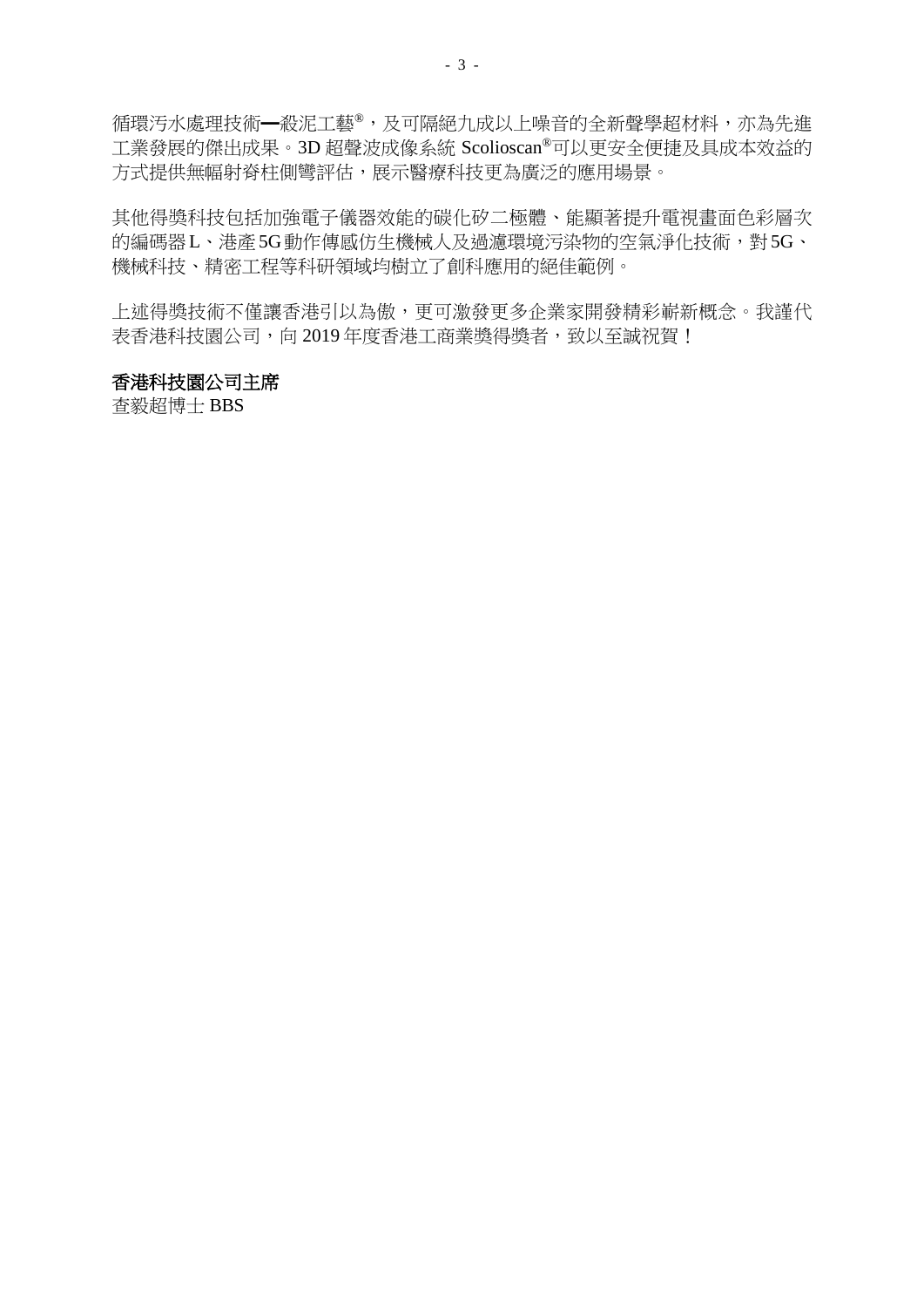循環汚水處理技術━殺泥工藝®,及可隔絕九成以上噪音的全新聲學超材料,亦為先進 工業發展的傑出成果。3D 超聲波成像系統 Scolioscan®可以更安全便捷及具成本效益的 方式提供無幅射脊柱側彎評估,展示醫療科技更為廣泛的應用場景。

其他得獎科技包括加強電子儀器效能的碳化矽二極體、能顯著提升電視畫面色彩層次 的編碼器L、港產5G動作傳感仿生機械人及過濾環境污染物的空氣淨化技術,對5G、 機械科技、精密工程等科研領域均樹立了創科應用的絕佳範例。

上述得獎技術不僅讓香港引以為傲,更可激發更多企業家開發精彩嶄新概念。我謹代 表香港科技園公司,向 2019年度香港工商業獎得獎者,致以至誠祝賀!

#### 香港科技園公司主席

查毅超博士 BBS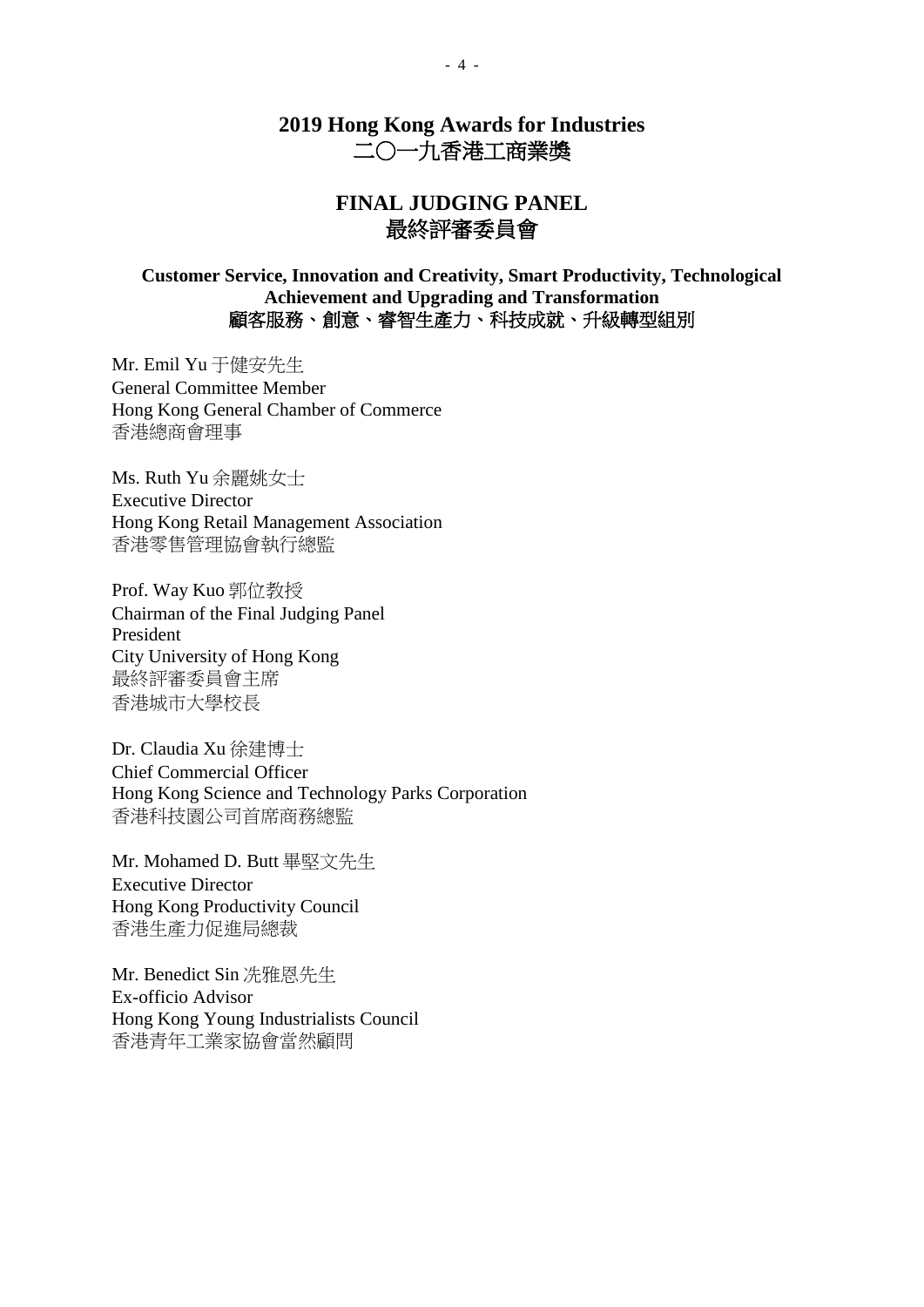## **2019 Hong Kong Awards for Industries** 二○一九香港工商業獎

## **FINAL JUDGING PANEL** 最終評審委員會

### **Customer Service, Innovation and Creativity, Smart Productivity, Technological Achievement and Upgrading and Transformation** 顧客服務、創意、睿智生產力、科技成就、升級轉型組別

Mr. Emil Yu 于健安先生 General Committee Member Hong Kong General Chamber of Commerce 香港總商會理事

Ms. Ruth Yu 余麗姚女士 Executive Director Hong Kong Retail Management Association 香港零售管理協會執行總監

Prof. Way Kuo 郭位教授 Chairman of the Final Judging Panel President City University of Hong Kong 最終評審委員會主席 香港城市大學校長

Dr. Claudia Xu 徐建博士 Chief Commercial Officer Hong Kong Science and Technology Parks Corporation 香港科技園公司首席商務總監

Mr. Mohamed D. Butt 畢堅文先生 Executive Director Hong Kong Productivity Council 香港生產力促進局總裁

Mr. Benedict Sin 冼雅恩先生 Ex-officio Advisor Hong Kong Young Industrialists Council 香港青年工業家協會當然顧問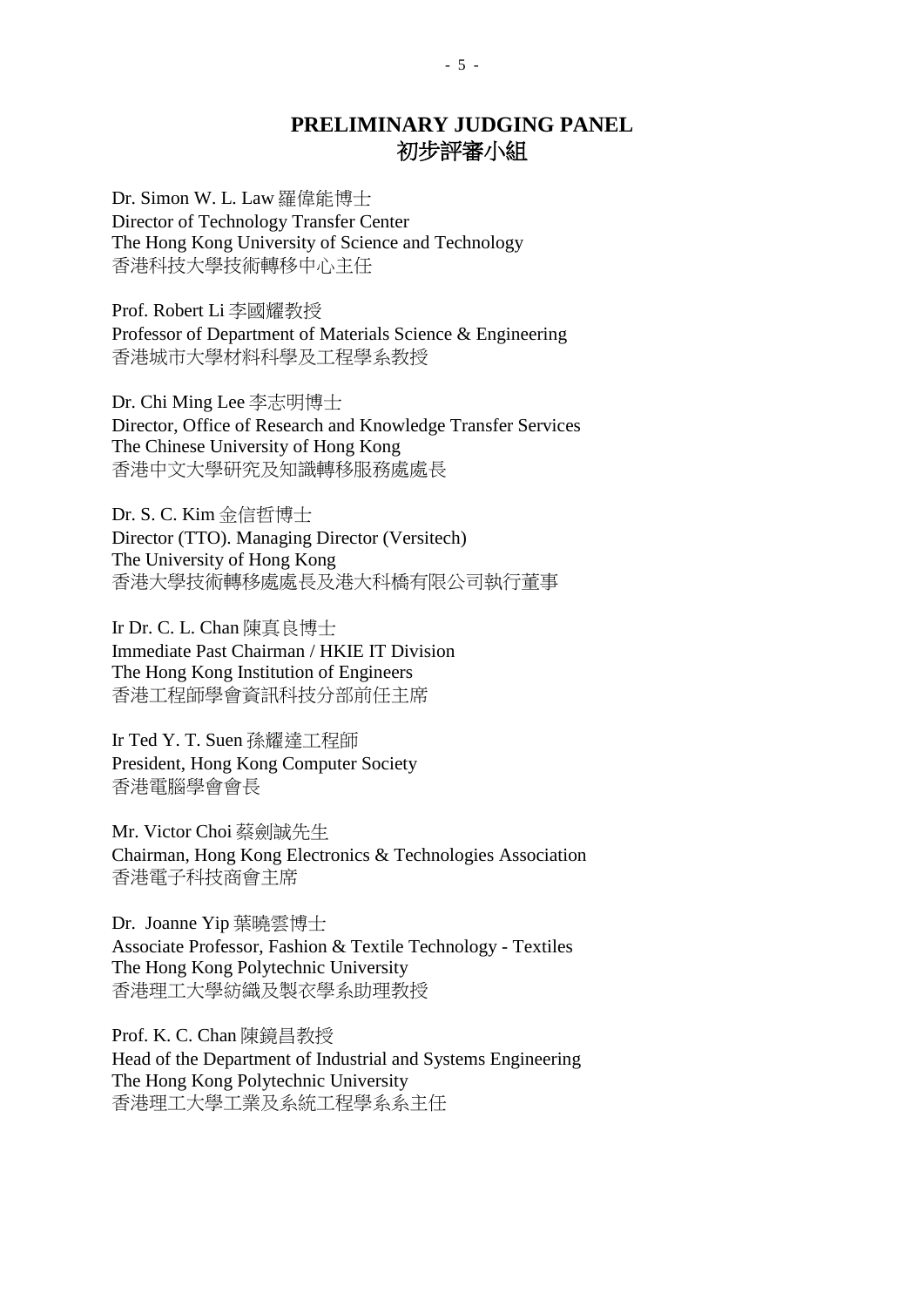## **PRELIMINARY JUDGING PANEL** 初步評審小組

Dr. Simon W. L. Law 羅偉能博士 Director of Technology Transfer Center The Hong Kong University of Science and Technology 香港科技大學技術轉移中心主任

Prof. Robert Li 李國耀教授 Professor of Department of Materials Science & Engineering 香港城市大學材料科學及工程學系教授

Dr. Chi Ming Lee 李志明博士 Director, Office of Research and Knowledge Transfer Services The Chinese University of Hong Kong 香港中文大學研究及知識轉移服務處處長

Dr. S. C. Kim 金信哲博士 Director (TTO). Managing Director (Versitech) The University of Hong Kong 香港大學技術轉移處處長及港大科橋有限公司執行董事

Ir Dr. C. L. Chan 陳真良博士 Immediate Past Chairman / HKIE IT Division The Hong Kong Institution of Engineers 香港工程師學會資訊科技分部前任主席

Ir Ted Y. T. Suen 孫耀達工程師 President, Hong Kong Computer Society 香港電腦學會會長

Mr. Victor Choi 蔡劍誠先生 Chairman, Hong Kong Electronics & Technologies Association 香港電子科技商會主席

Dr. Joanne Yip 葉曉雲博士 Associate Professor, Fashion & Textile Technology - Textiles The Hong Kong Polytechnic University 香港理工大學紡織及製衣學系助理教授

Prof. K. C. Chan 陳鏡昌教授 Head of the Department of Industrial and Systems Engineering The Hong Kong Polytechnic University 香港理工大學工業及系統工程學系系主任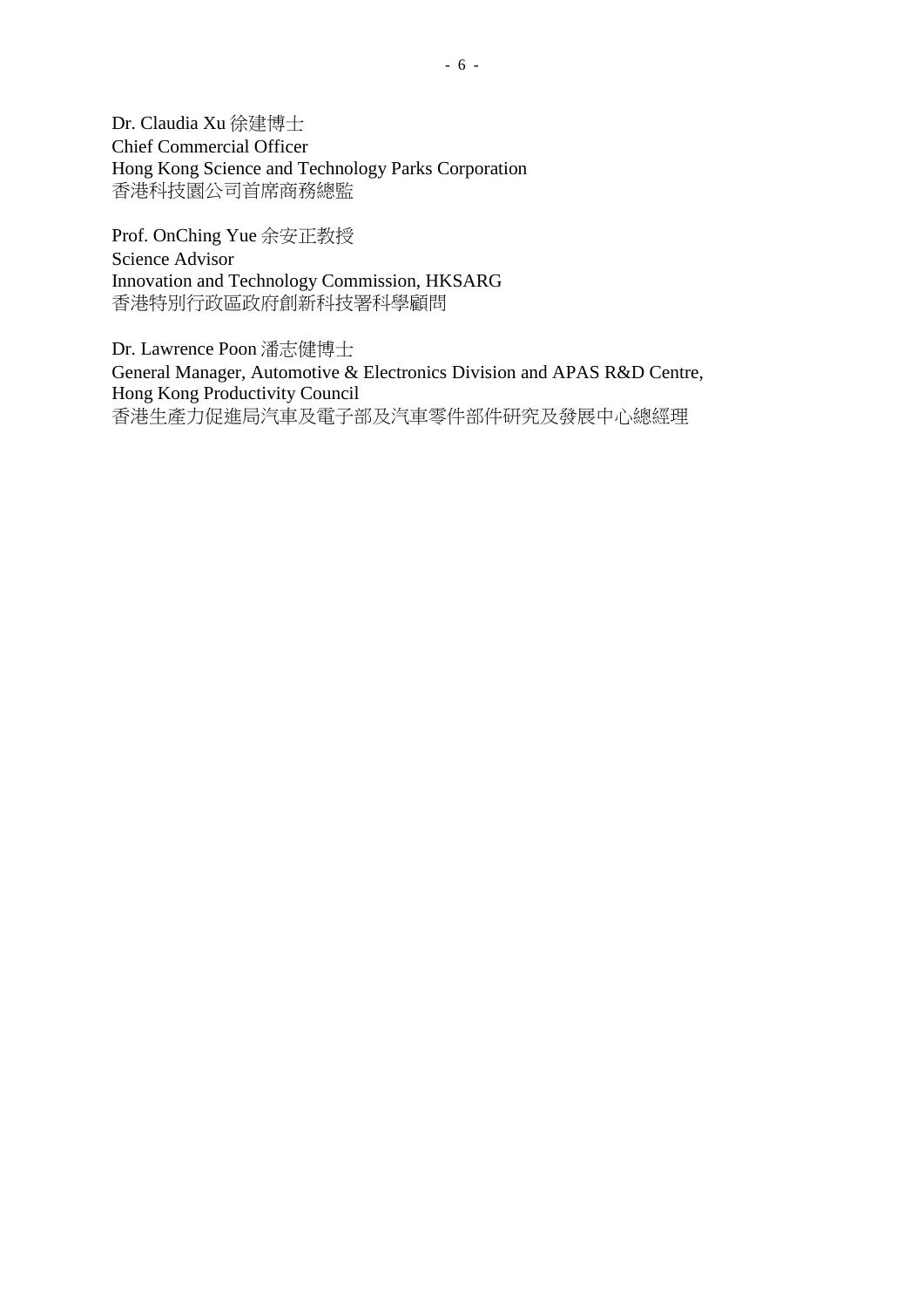Dr. Claudia Xu 徐建博士 Chief Commercial Officer Hong Kong Science and Technology Parks Corporation 香港科技園公司首席商務總監

Prof. OnChing Yue 余安正教授 Science Advisor Innovation and Technology Commission, HKSARG 香港特別行政區政府創新科技署科學顧問

Dr. Lawrence Poon 潘志健博士 General Manager, Automotive & Electronics Division and APAS R&D Centre, Hong Kong Productivity Council 香港生產力促進局汽車及電子部及汽車零件部件研究及發展中心總經理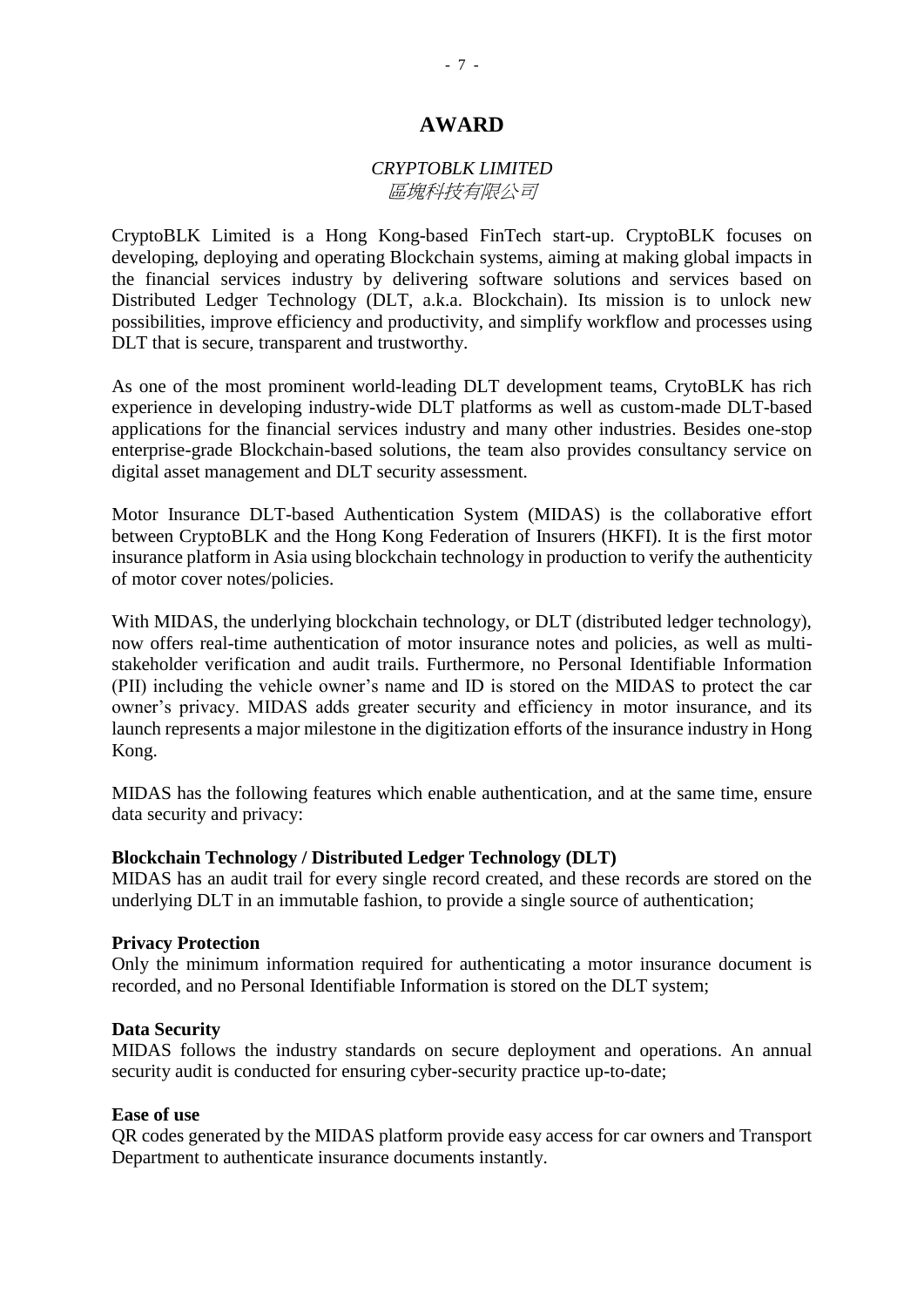### *CRYPTOBLK LIMITED* 區塊科技有限公司

CryptoBLK Limited is a Hong Kong-based FinTech start-up. CryptoBLK focuses on developing, deploying and operating Blockchain systems, aiming at making global impacts in the financial services industry by delivering software solutions and services based on Distributed Ledger Technology (DLT, a.k.a. Blockchain). Its mission is to unlock new possibilities, improve efficiency and productivity, and simplify workflow and processes using DLT that is secure, transparent and trustworthy.

As one of the most prominent world-leading DLT development teams, CrytoBLK has rich experience in developing industry-wide DLT platforms as well as custom-made DLT-based applications for the financial services industry and many other industries. Besides one-stop enterprise-grade Blockchain-based solutions, the team also provides consultancy service on digital asset management and DLT security assessment.

Motor Insurance DLT-based Authentication System (MIDAS) is the collaborative effort between CryptoBLK and the Hong Kong Federation of Insurers (HKFI). It is the first motor insurance platform in Asia using blockchain technology in production to verify the authenticity of motor cover notes/policies.

With MIDAS, the underlying blockchain technology, or DLT (distributed ledger technology), now offers real-time authentication of motor insurance notes and policies, as well as multistakeholder verification and audit trails. Furthermore, no Personal Identifiable Information (PII) including the vehicle owner's name and ID is stored on the MIDAS to protect the car owner's privacy. MIDAS adds greater security and efficiency in motor insurance, and its launch represents a major milestone in the digitization efforts of the insurance industry in Hong Kong.

MIDAS has the following features which enable authentication, and at the same time, ensure data security and privacy:

#### **Blockchain Technology / Distributed Ledger Technology (DLT)**

MIDAS has an audit trail for every single record created, and these records are stored on the underlying DLT in an immutable fashion, to provide a single source of authentication;

#### **Privacy Protection**

Only the minimum information required for authenticating a motor insurance document is recorded, and no Personal Identifiable Information is stored on the DLT system;

#### **Data Security**

MIDAS follows the industry standards on secure deployment and operations. An annual security audit is conducted for ensuring cyber-security practice up-to-date;

#### **Ease of use**

QR codes generated by the MIDAS platform provide easy access for car owners and Transport Department to authenticate insurance documents instantly.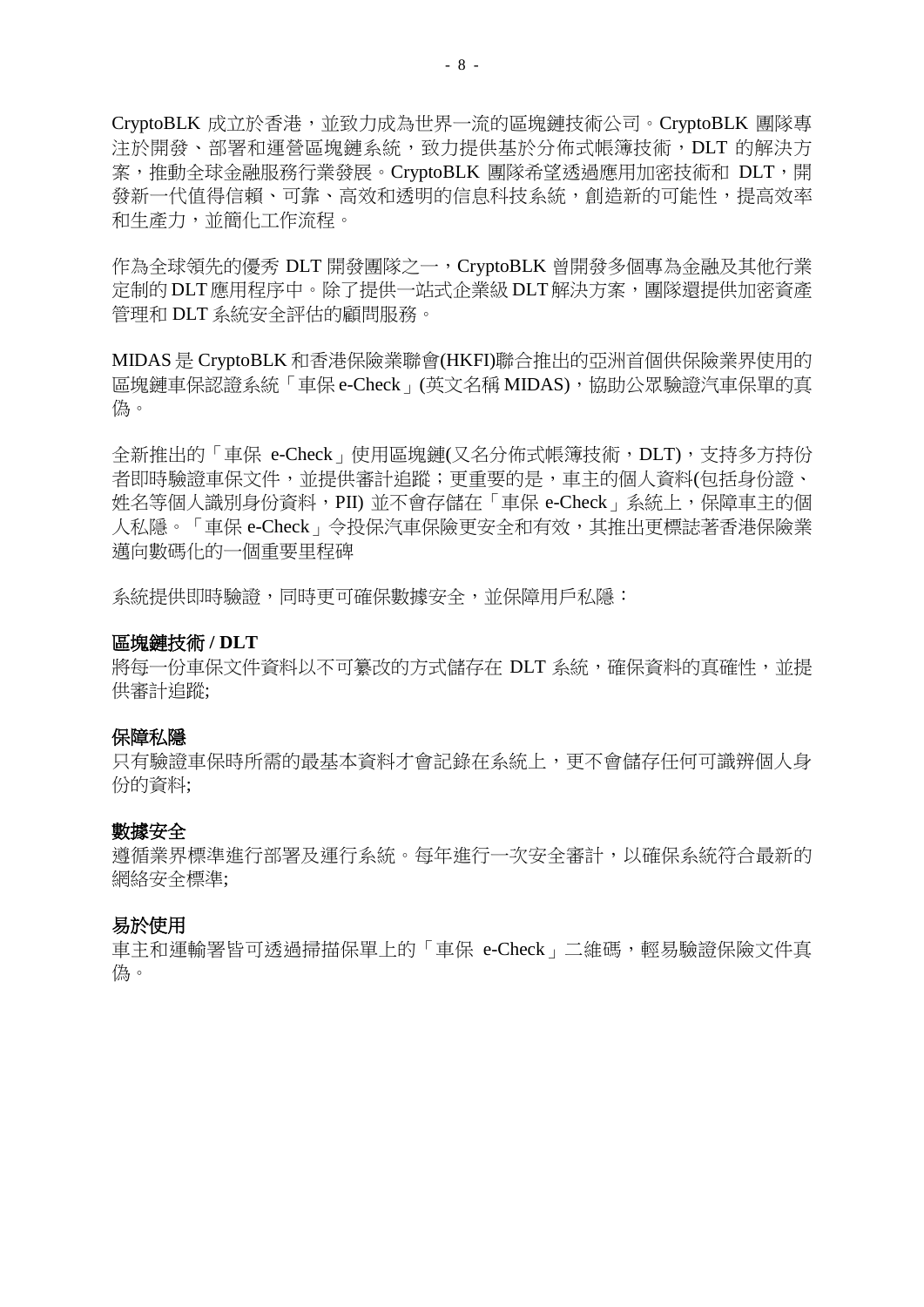CryptoBLK 成立於香港,並致力成為世界一流的區塊鏈技術公司。CryptoBLK 團隊專 注於開發、部署和運營區塊鏈系統,致力提供基於分佈式帳簿技術,DLT 的解決方 案,推動全球金融服務行業發展。CryptoBLK 團隊希望透過應用加密技術和 DLT,開 發新一代值得信賴、可靠、高效和透明的信息科技系統,創造新的可能性,提高效率 和生產力,並簡化工作流程。

作為全球領先的優秀 DLT 開發團隊之一, CryptoBLK 曾開發多個專為金融及其他行業 定制的 DLT應用程序中。除了提供一站式企業級 DLT解決方案,團隊還提供加密資產 管理和 DLT 系統安全評估的顧問服務。

MIDAS 是 CryptoBLK 和香港保險業聯會(HKFI)聯合推出的亞洲首個供保險業界使用的 區塊鏈車保認證系統「車保 e-Check」(英文名稱 MIDAS),協助公眾驗證汽車保單的真 偽。

全新推出的「車保 e-Check」使用區塊鏈(又名分佈式帳簿技術,DLT),支持多方持份 者即時驗證車保文件,並提供審計追蹤;更重要的是,車主的個人資料(包括身份證、 姓名等個人識別身份資料,PII) 並不會存儲在「車保 e-Check」系統上,保障車主的個 人私隱。「車保 e-Check」令投保汽車保險更安全和有效,其推出更標誌著香港保險業 邁向數碼化的一個重要里程碑

系統提供即時驗證,同時更可確保數據安全,並保障用戶私隱:

#### 區塊鏈技術 **/ DLT**

將每一份車保文件資料以不可纂改的方式儲存在 DLT 系統,確保資料的真確性,並提 供審計追蹤;

#### 保障私隱

只有驗證車保時所需的最基本資料才會記錄在系統上,更不會儲存任何可識辨個人身 份的資料;

#### 數據安全

遵循業界標準進行部署及運行系統。每年進行一次安全審計,以確保系統符合最新的 網絡安全標準;

### 易於使用

車主和運輸署皆可透過掃描保單上的「車保 e-Check」二維碼,輕易驗證保險文件真 偽。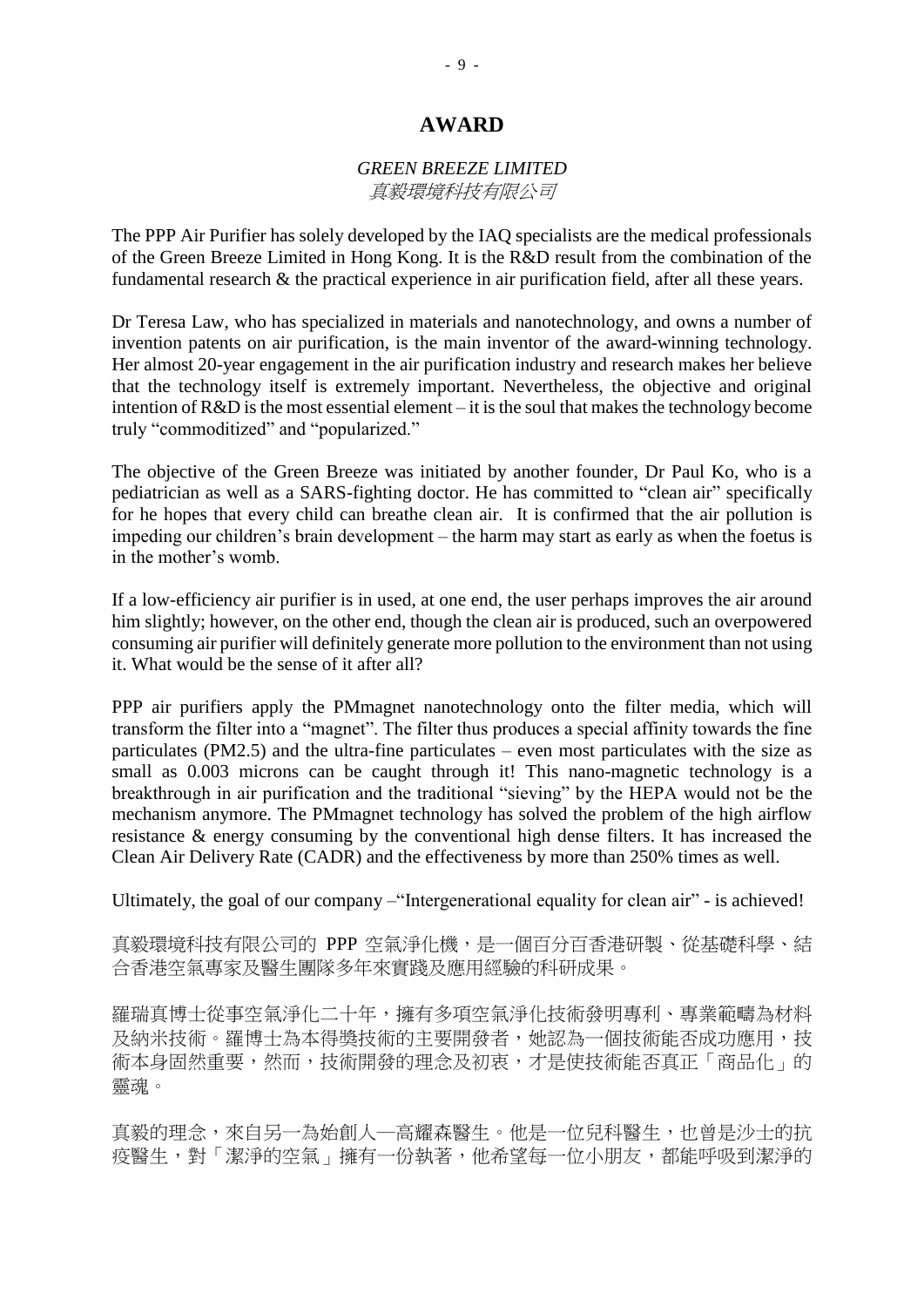### *GREEN BREEZE LIMITED* 真毅環境科技有限公司

The PPP Air Purifier has solely developed by the IAQ specialists are the medical professionals of the Green Breeze Limited in Hong Kong. It is the R&D result from the combination of the fundamental research & the practical experience in air purification field, after all these years.

Dr Teresa Law, who has specialized in materials and nanotechnology, and owns a number of invention patents on air purification, is the main inventor of the award-winning technology. Her almost 20-year engagement in the air purification industry and research makes her believe that the technology itself is extremely important. Nevertheless, the objective and original intention of R&D is the most essential element – it is the soul that makes the technology become truly "commoditized" and "popularized."

The objective of the Green Breeze was initiated by another founder, Dr Paul Ko, who is a pediatrician as well as a SARS-fighting doctor. He has committed to "clean air" specifically for he hopes that every child can breathe clean air. It is confirmed that the air pollution is impeding our children's brain development – the harm may start as early as when the foetus is in the mother's womb.

If a low-efficiency air purifier is in used, at one end, the user perhaps improves the air around him slightly; however, on the other end, though the clean air is produced, such an overpowered consuming air purifier will definitely generate more pollution to the environment than not using it. What would be the sense of it after all?

PPP air purifiers apply the PMmagnet nanotechnology onto the filter media, which will transform the filter into a "magnet". The filter thus produces a special affinity towards the fine particulates (PM2.5) and the ultra-fine particulates – even most particulates with the size as small as 0.003 microns can be caught through it! This nano-magnetic technology is a breakthrough in air purification and the traditional "sieving" by the HEPA would not be the mechanism anymore. The PMmagnet technology has solved the problem of the high airflow resistance & energy consuming by the conventional high dense filters. It has increased the Clean Air Delivery Rate (CADR) and the effectiveness by more than 250% times as well.

Ultimately, the goal of our company –"Intergenerational equality for clean air" - is achieved!

真毅環境科技有限公司的 PPP 空氣淨化機,是一個百分百香港研製、從基礎科學、結 合香港空氣專家及醫生團隊多年來實踐及應用經驗的科研成果。

羅瑞真博士從事空氣淨化二十年,擁有多項空氣淨化技術發明專利、專業範疇為材料 及納米技術。羅博士為本得獎技術的主要開發者,她認為一個技術能否成功應用,技 術本身固然重要,然而,技術開發的理念及初衷,才是使技術能否真正「商品化」的 靈魂。

真毅的理念,來自另一為始創人一高耀森醫生。他是一位兒科醫生,也曾是沙士的抗 疫醫生,對「潔淨的空氣」擁有一份執著,他希望每一位小朋友,都能呼吸到潔淨的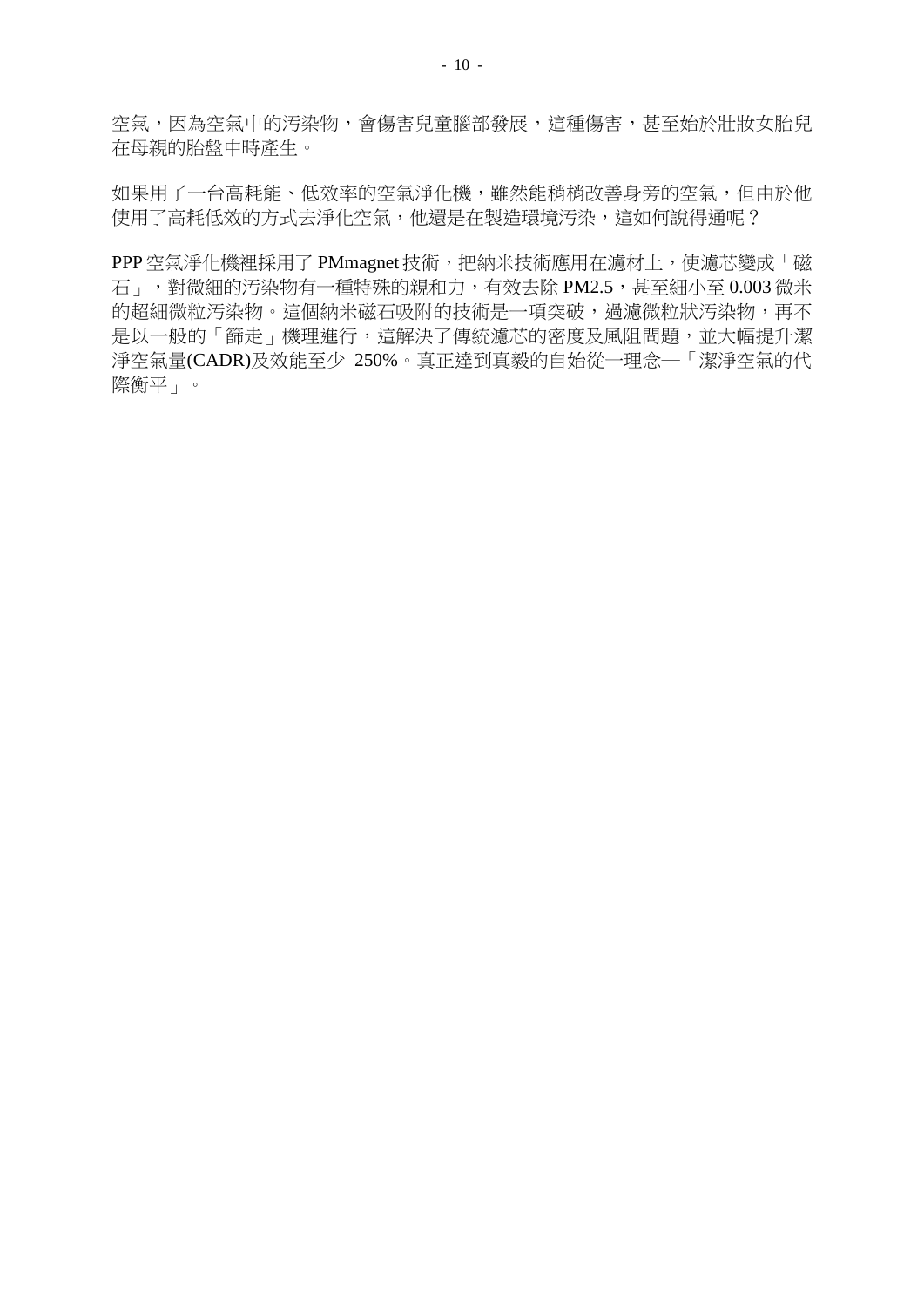空氣,因為空氣中的汚染物,會傷害兒童腦部發展,這種傷害,甚至始於壯妝女胎兒 在母親的胎盤中時產生。

如果用了一台高耗能、低效率的空氣淨化機,雖然能稍梢改善身旁的空氣,但由於他 使用了高耗低效的方式去淨化空氣,他還是在製造環境汚染,這如何說得通呢?

PPP 空氣淨化機裡採用了 PMmagnet 技術,把納米技術應用在濾材上,使濾芯變成「磁 石」,對微細的汚染物有一種特殊的親和力,有效去除 PM2.5,甚至細小至 0.003 微米 的超細微粒汚染物。這個納米磁石吸附的技術是一項突破,過濾微粒狀汚染物,再不 是以一般的「篩走」機理進行,這解決了傳統濾芯的密度及風阻問題,並大幅提升潔 淨空氣量(CADR)及效能至少 250%。真正達到真毅的自始從一理念─「潔淨空氣的代 際衡平」。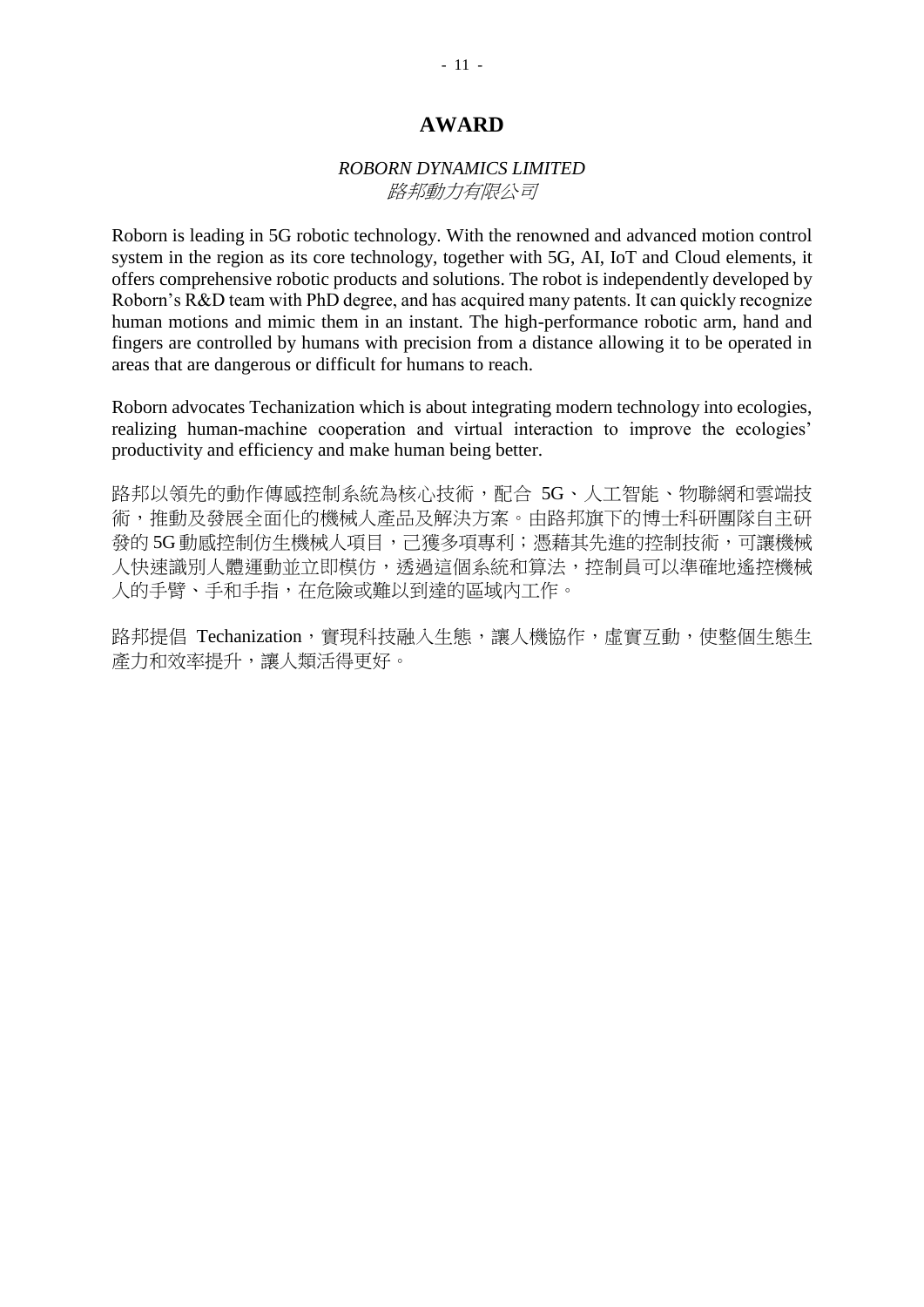## *ROBORN DYNAMICS LIMITED* 路邦動力有限公司

Roborn is leading in 5G robotic technology. With the renowned and advanced motion control system in the region as its core technology, together with 5G, AI, IoT and Cloud elements, it offers comprehensive robotic products and solutions. The robot is independently developed by Roborn's R&D team with PhD degree, and has acquired many patents. It can quickly recognize human motions and mimic them in an instant. The high-performance robotic arm, hand and fingers are controlled by humans with precision from a distance allowing it to be operated in areas that are dangerous or difficult for humans to reach.

Roborn advocates Techanization which is about integrating modern technology into ecologies, realizing human-machine cooperation and virtual interaction to improve the ecologies' productivity and efficiency and make human being better.

路邦以領先的動作傳感控制系統為核心技術,配合 5G、人工智能、物聯網和雲端技 術,推動及發展全面化的機械人產品及解決方案。由路邦旗下的博士科研團隊自主研 發的 5G 動感控制仿生機械人項目,己獲多項專利;憑藉其先進的控制技術,可讓機械 人快速識別人體運動並立即模仿,透過這個系統和算法,控制員可以準確地遙控機械 人的手臂、手和手指,在危險或難以到達的區域內工作。

路邦提倡 Techanization,實現科技融入生態,讓人機協作,虛實互動,使整個生態生 產力和效率提升,讓人類活得更好。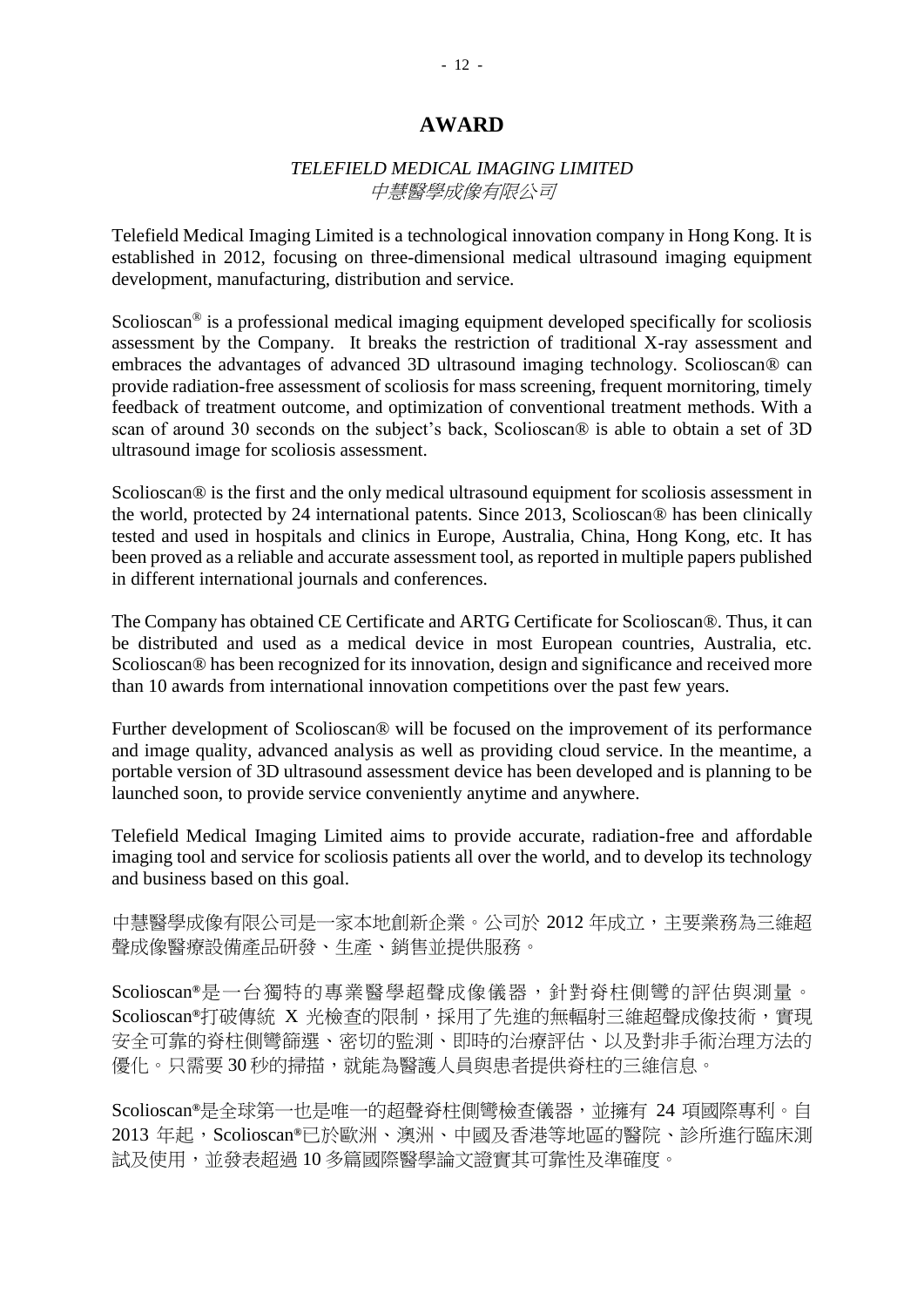## *TELEFIELD MEDICAL IMAGING LIMITED* 中慧醫學成像有限公司

Telefield Medical Imaging Limited is a technological innovation company in Hong Kong. It is established in 2012, focusing on three-dimensional medical ultrasound imaging equipment development, manufacturing, distribution and service.

Scolioscan<sup>®</sup> is a professional medical imaging equipment developed specifically for scoliosis assessment by the Company. It breaks the restriction of traditional X-ray assessment and embraces the advantages of advanced 3D ultrasound imaging technology. Scolioscan® can provide radiation-free assessment of scoliosis for mass screening, frequent mornitoring, timely feedback of treatment outcome, and optimization of conventional treatment methods. With a scan of around 30 seconds on the subject's back, Scolioscan® is able to obtain a set of 3D ultrasound image for scoliosis assessment.

Scolioscan<sup>®</sup> is the first and the only medical ultrasound equipment for scoliosis assessment in the world, protected by 24 international patents. Since 2013, Scolioscan® has been clinically tested and used in hospitals and clinics in Europe, Australia, China, Hong Kong, etc. It has been proved as a reliable and accurate assessment tool, as reported in multiple papers published in different international journals and conferences.

The Company has obtained CE Certificate and ARTG Certificate for Scolioscan® . Thus, it can be distributed and used as a medical device in most European countries, Australia, etc. Scolioscan® has been recognized for its innovation, design and significance and received more than 10 awards from international innovation competitions over the past few years.

Further development of Scolioscan® will be focused on the improvement of its performance and image quality, advanced analysis as well as providing cloud service. In the meantime, a portable version of 3D ultrasound assessment device has been developed and is planning to be launched soon, to provide service conveniently anytime and anywhere.

Telefield Medical Imaging Limited aims to provide accurate, radiation-free and affordable imaging tool and service for scoliosis patients all over the world, and to develop its technology and business based on this goal.

中慧醫學成像有限公司是一家本地創新企業。公司於 2012 年成立,主要業務為三維超 聲成像醫療設備產品研發、生產、銷售並提供服務。

Scolioscan**®** 是一台獨特的專業醫學超聲成像儀器,針對脊柱側彎的評估與測量。 Scolioscan**®**打破傳統 X 光檢查的限制,採用了先進的無輻射三維超聲成像技術,實現 安全可靠的脊柱側彎篩選、密切的監測、即時的治療評估、以及對非手術治理方法的 優化。只需要30秒的掃描,就能為醫護人員與患者提供脊柱的三維信息。

Scolioscan**®**是全球第一也是唯一的超聲脊柱側彎檢查儀器,並擁有 24 項國際專利。自 2013 年起,Scolioscan**®**已於歐洲、澳洲、中國及香港等地區的醫院、診所進行臨床測 試及使用,並發表超過 10 多篇國際醫學論文證實其可靠性及準確度。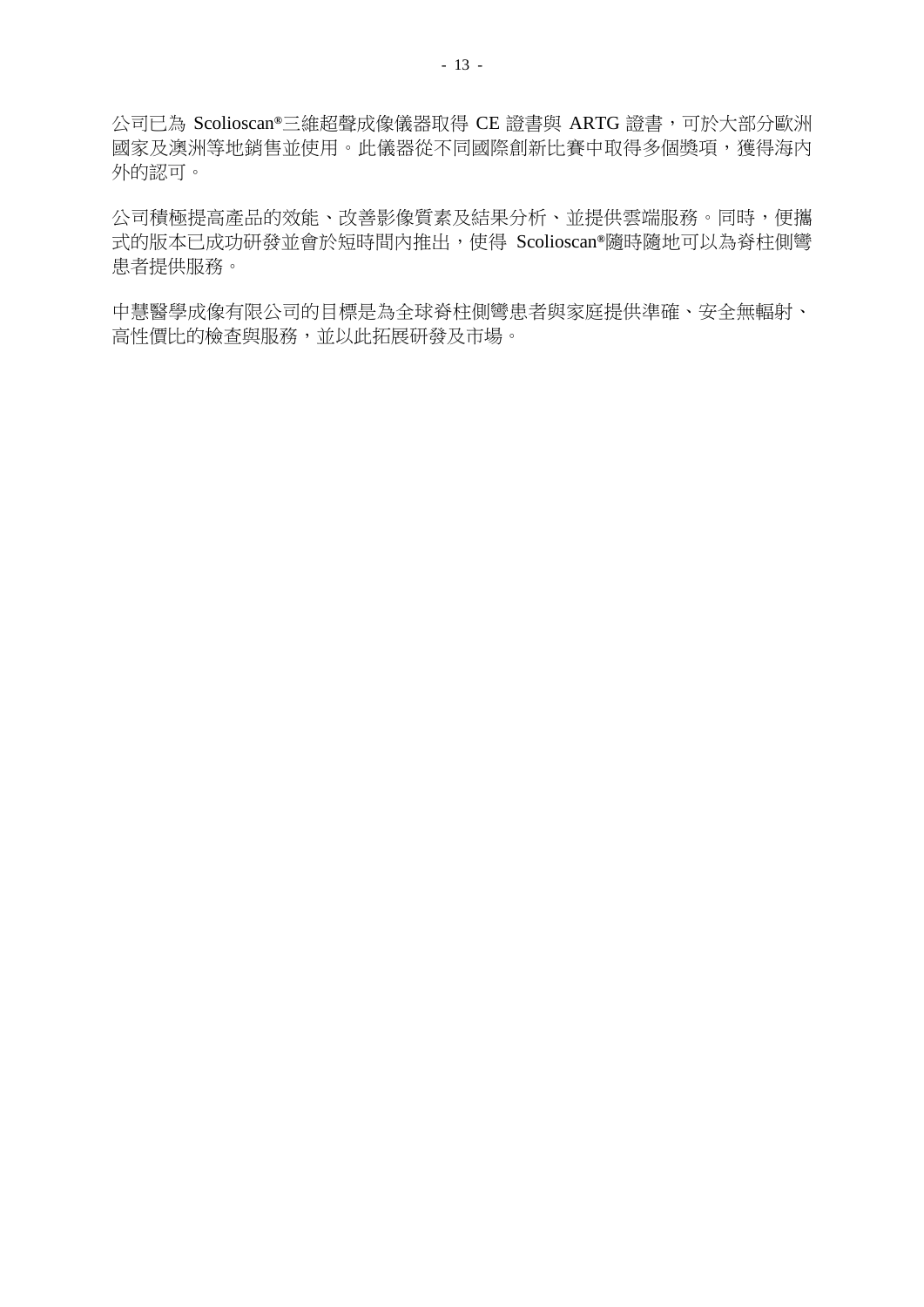公司已為 Scolioscan**®**三維超聲成像儀器取得 CE 證書與 ARTG 證書,可於大部分歐洲 國家及澳洲等地銷售並使用。此儀器從不同國際創新比賽中取得多個獎項,獲得海內 外的認可。

公司積極提高產品的效能、改善影像質素及結果分析、並提供雲端服務。同時,便攜 式的版本已成功研發並會於短時間內推出,使得 Scolioscan**®**隨時隨地可以為脊柱側彎 患者提供服務。

中慧醫學成像有限公司的目標是為全球脊柱側彎患者與家庭提供準確、安全無輻射、 高性價比的檢查與服務,並以此拓展研發及市場。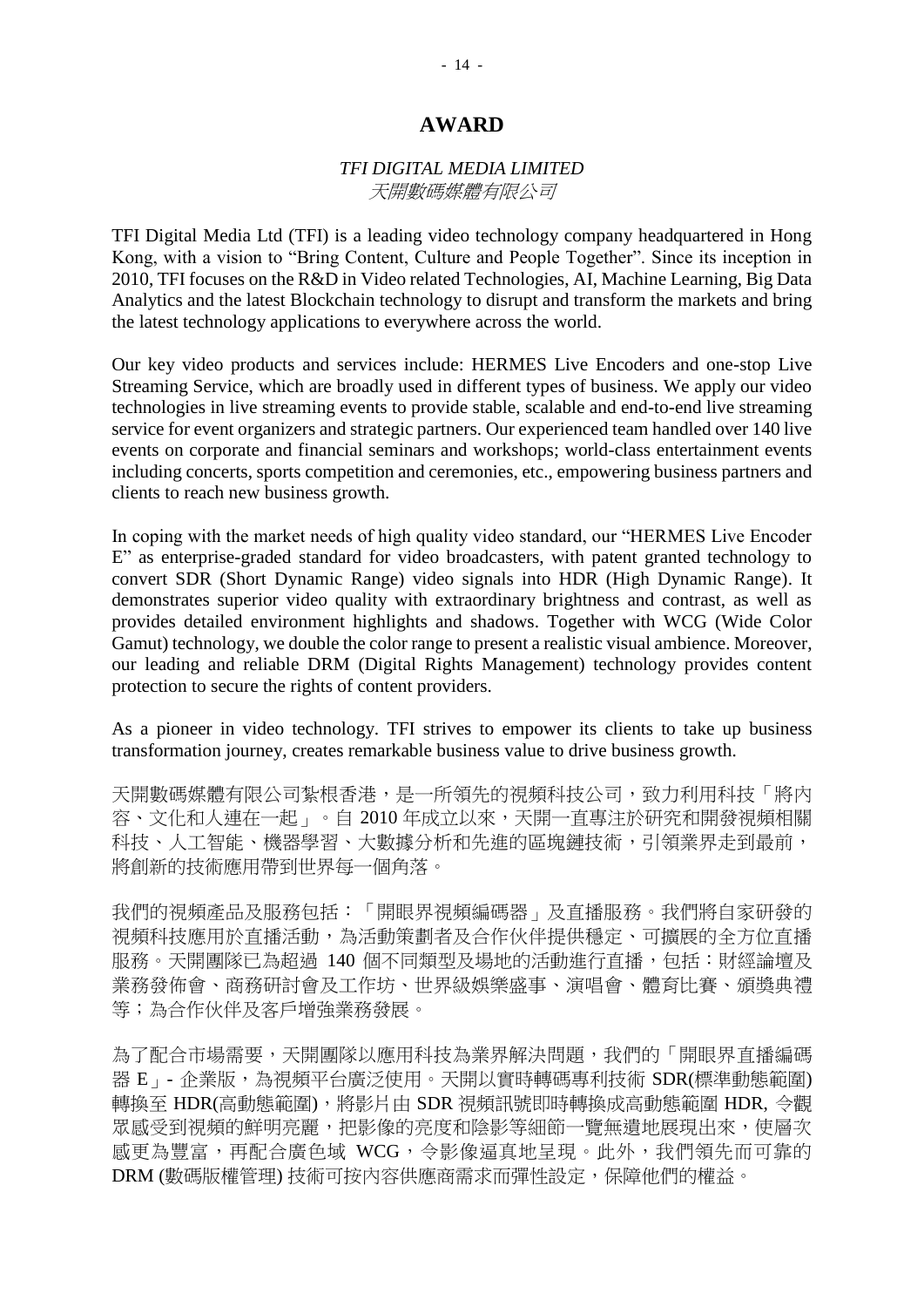## *TFI DIGITAL MEDIA LIMITED* 天開數碼媒體有限公司

TFI Digital Media Ltd (TFI) is a leading video technology company headquartered in Hong Kong, with a vision to "Bring Content, Culture and People Together". Since its inception in 2010, TFI focuses on the R&D in Video related Technologies, AI, Machine Learning, Big Data Analytics and the latest Blockchain technology to disrupt and transform the markets and bring the latest technology applications to everywhere across the world.

Our key video products and services include: HERMES Live Encoders and one-stop Live Streaming Service, which are broadly used in different types of business. We apply our video technologies in live streaming events to provide stable, scalable and end-to-end live streaming service for event organizers and strategic partners. Our experienced team handled over 140 live events on corporate and financial seminars and workshops; world-class entertainment events including concerts, sports competition and ceremonies, etc., empowering business partners and clients to reach new business growth.

In coping with the market needs of high quality video standard, our "HERMES Live Encoder E" as enterprise-graded standard for video broadcasters, with patent granted technology to convert SDR (Short Dynamic Range) video signals into HDR (High Dynamic Range). It demonstrates superior video quality with extraordinary brightness and contrast, as well as provides detailed environment highlights and shadows. Together with WCG (Wide Color Gamut) technology, we double the color range to present a realistic visual ambience. Moreover, our leading and reliable DRM (Digital Rights Management) technology provides content protection to secure the rights of content providers.

As a pioneer in video technology. TFI strives to empower its clients to take up business transformation journey, creates remarkable business value to drive business growth.

天開數碼媒體有限公司紮根香港,是一所領先的視頻科技公司,致力利用科技「將內 容、文化和人連在一起」。自 2010 年成立以來,天開一直專注於研究和開發視頻相關 科技、人工智能、機器學習、大數據分析和先進的區塊鏈技術,引領業界走到最前, 將創新的技術應用帶到世界每一個角落。

我們的視頻產品及服務包括:「開眼界視頻編碼器」及直播服務。我們將自家研發的 視頻科技應用於直播活動,為活動策劃者及合作伙伴提供穩定、可擴展的全方位直播 服務。天開團隊已為超過 140個不同類型及場地的活動進行直播,包括:財經論壇及 業務發佈會、商務研討會及工作坊、世界級娛樂盛事、演唱會、體育比賽、頒獎典禮 等;為合作伙伴及客戶增強業務發展。

為了配合市場需要,天開團隊以應用科技為業界解決問題,我們的「開眼界直播編碼 器 E - 企業版,為視頻平台廣泛使用。天開以實時轉碼專利技術 SDR(標準動態範圍) 轉換至 HDR(高動態範圍),將影片由 SDR 視頻訊號即時轉換成高動態範圍 HDR, 令觀 眾感受到視頻的鮮明亮麗,把影像的亮度和陰影等細節一覽無遺地展現出來,使層次 感更為豐富,再配合廣色域 WCG,令影像逼真地呈現。此外,我們領先而可靠的 DRM (數碼版權管理) 技術可按內容供應商需求而彈性設定,保障他們的權益。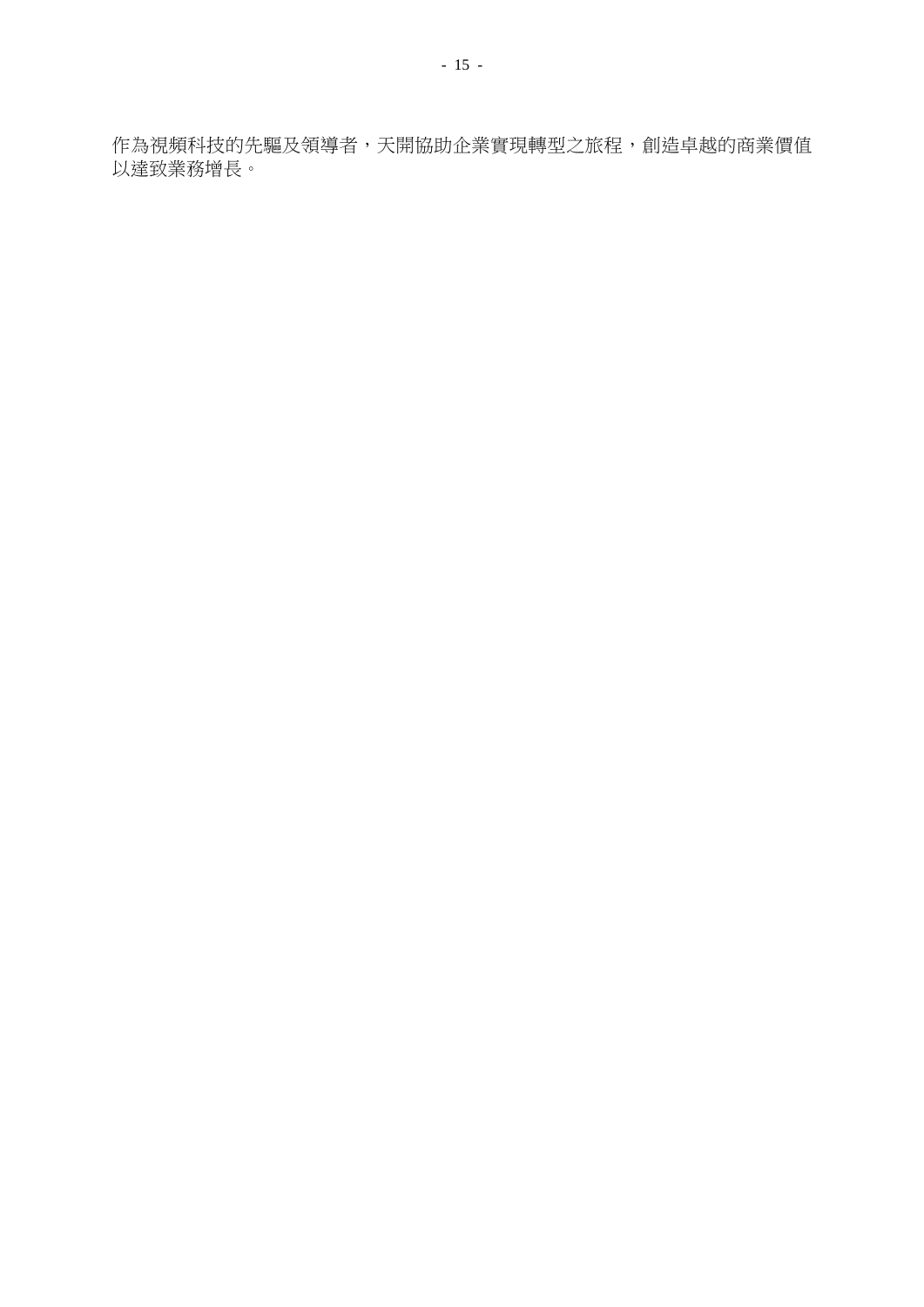作為視頻科技的先驅及領導者,天開協助企業實現轉型之旅程,創造卓越的商業價值 以達致業務增長。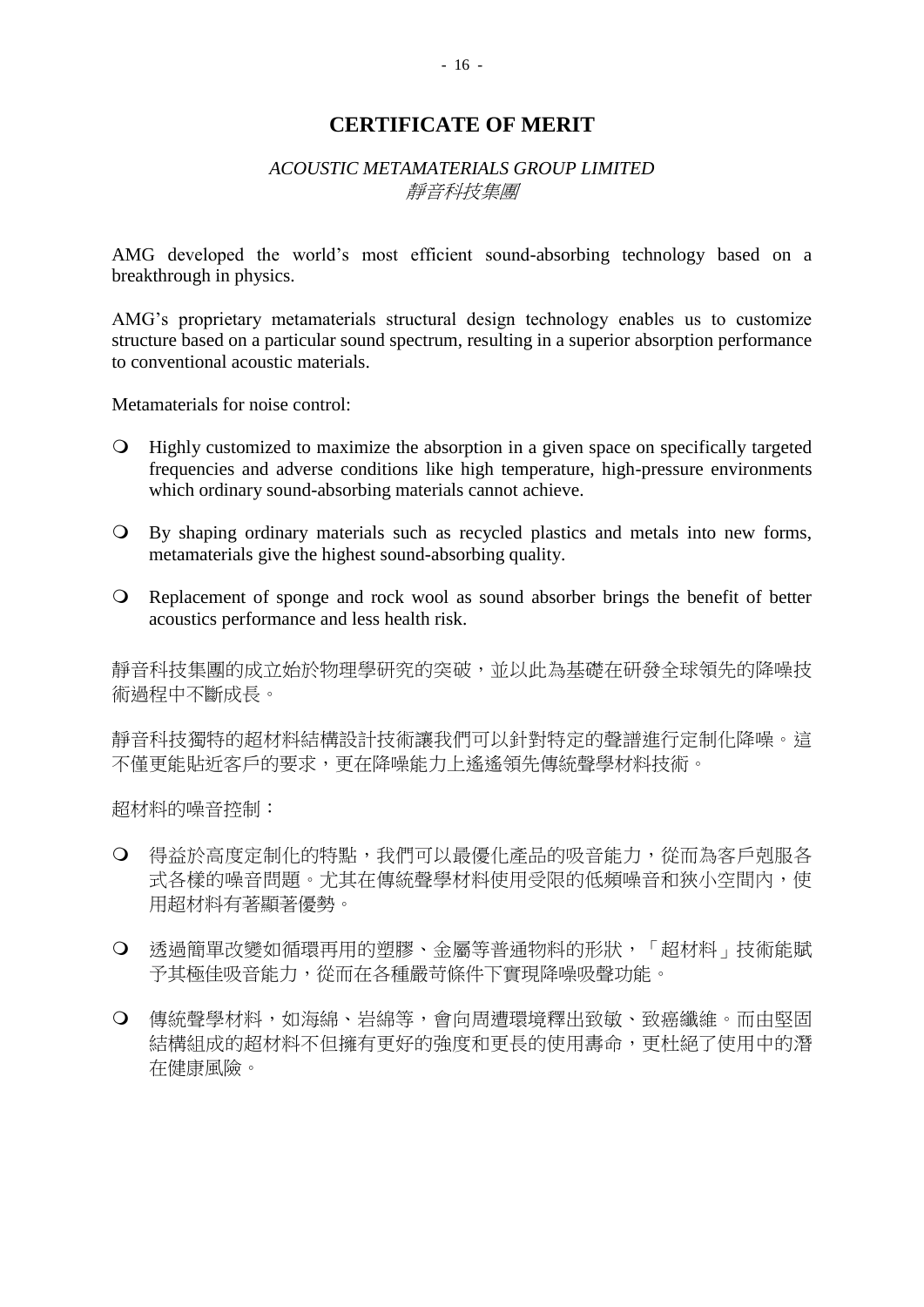## *ACOUSTIC METAMATERIALS GROUP LIMITED* 靜音科技集團

AMG developed the world's most efficient sound-absorbing technology based on a breakthrough in physics.

AMG's proprietary metamaterials structural design technology enables us to customize structure based on a particular sound spectrum, resulting in a superior absorption performance to conventional acoustic materials.

Metamaterials for noise control:

- Highly customized to maximize the absorption in a given space on specifically targeted frequencies and adverse conditions like high temperature, high-pressure environments which ordinary sound-absorbing materials cannot achieve.
- By shaping ordinary materials such as recycled plastics and metals into new forms, metamaterials give the highest sound-absorbing quality.
- Replacement of sponge and rock wool as sound absorber brings the benefit of better acoustics performance and less health risk.

靜音科技集團的成立始於物理學研究的突破,並以此為基礎在研發全球領先的降噪技 術過程中不斷成長。

靜音科技獨特的超材料結構設計技術讓我們可以針對特定的聲譜進行定制化降噪。這 不僅更能貼近客戶的要求,更在降噪能力上遙遙領先傳統聲學材料技術。

超材料的噪音控制:

- 得益於高度定制化的特點,我們可以最優化產品的吸音能力,從而為客戶剋服各 式各樣的噪音問題。尤其在傳統聲學材料使用受限的低頻噪音和狹小空間內,使 用超材料有著顯著優勢。
- 透過簡單改變如循環再用的塑膠、金屬等普通物料的形狀,「超材料」技術能賦 予其極佳吸音能力,從而在各種嚴苛條件下實現降噪吸聲功能。
- 傳統聲學材料,如海綿、岩綿等,會向周遭環境釋出致敏、致癌纖維。而由堅固 結構組成的超材料不但擁有更好的強度和更長的使用夀命,更杜絕了使用中的潛 在健康風險。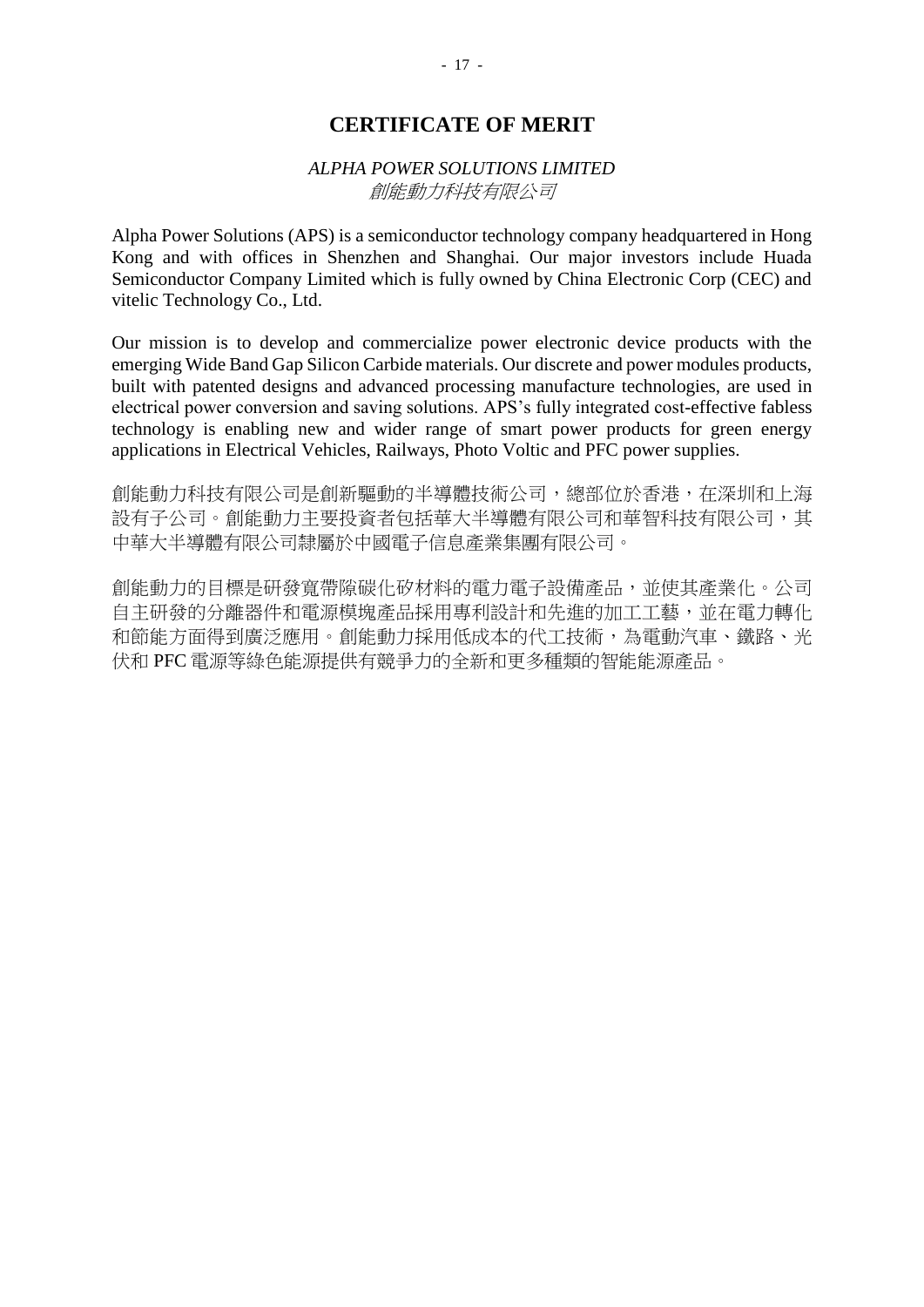## *ALPHA POWER SOLUTIONS LIMITED* 創能動力科技有限公司

Alpha Power Solutions (APS) is a semiconductor technology company headquartered in Hong Kong and with offices in Shenzhen and Shanghai. Our major investors include Huada Semiconductor Company Limited which is fully owned by China Electronic Corp (CEC) and vitelic Technology Co., Ltd.

Our mission is to develop and commercialize power electronic device products with the emerging Wide Band Gap Silicon Carbide materials. Our discrete and power modules products, built with patented designs and advanced processing manufacture technologies, are used in electrical power conversion and saving solutions. APS's fully integrated cost-effective fabless technology is enabling new and wider range of smart power products for green energy applications in Electrical Vehicles, Railways, Photo Voltic and PFC power supplies.

創能動力科技有限公司影驅動的半導體技術公司,總部位於香港,在深圳和上海 設有子公司。創能動力主要投資者包括華大半導體有限公司和華智科技有限公司,其 中華大半導體有限公司隸屬於中國電子信息產業集團有限公司。

創能動力的目標是研發寬帶隙碳化矽材料的電力電子設備產品,並使其產業化。公司 自主研發的分離器件和電源模塊產品採用專利設計和先進的加工工藝,並在電力轉化 和節能方面得到廣泛應用。創能動力採用低成本的代工技術,為電動汽車、鐵路、光 伏和 PFC 電源等綠色能源提供有競爭力的全新和更多種類的智能能源產品。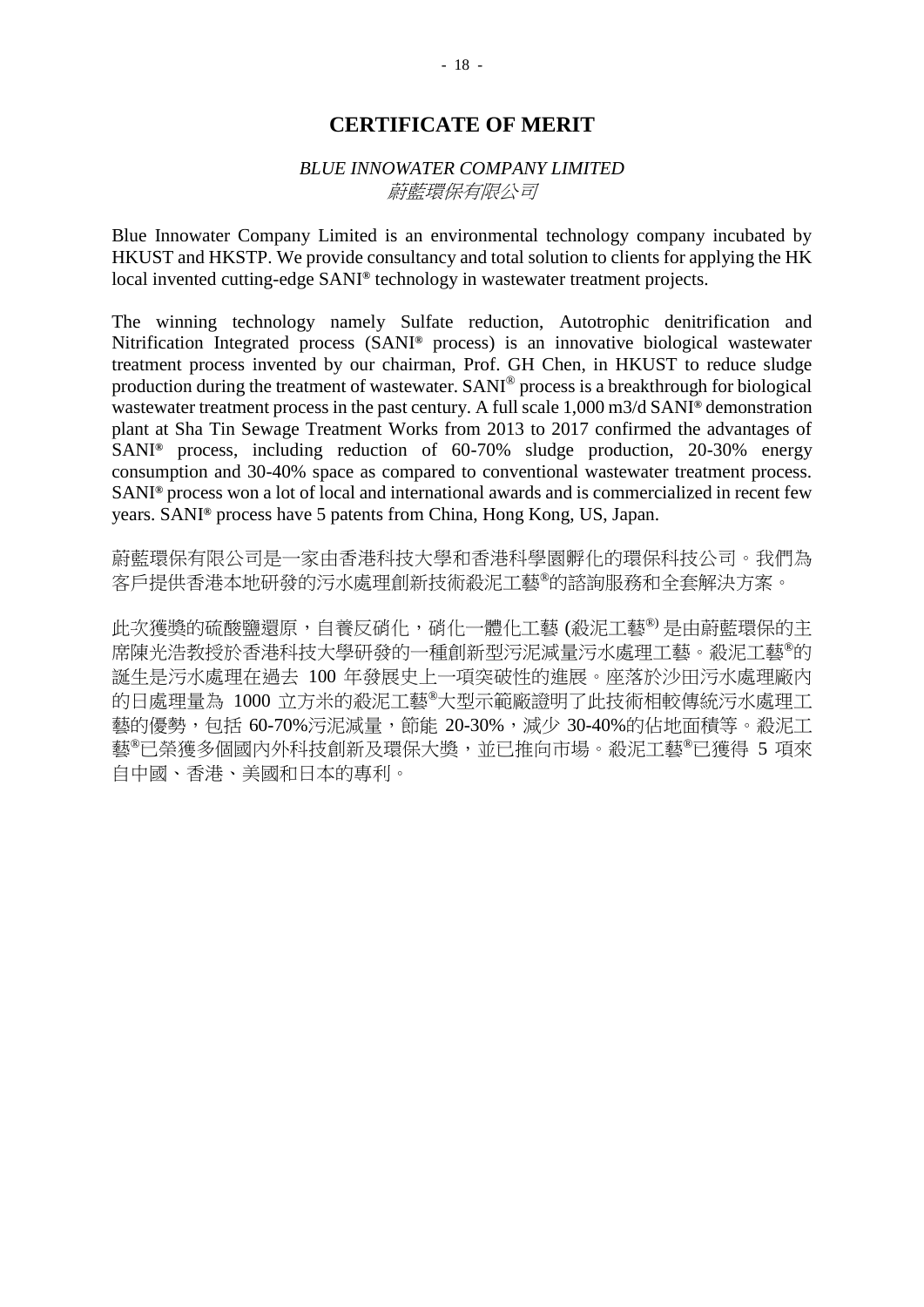## *BLUE INNOWATER COMPANY LIMITED* 蔚藍環保有限公司

Blue Innowater Company Limited is an environmental technology company incubated by HKUST and HKSTP. We provide consultancy and total solution to clients for applying the HK local invented cutting-edge SANI**®** technology in wastewater treatment projects.

The winning technology namely Sulfate reduction, Autotrophic denitrification and Nitrification Integrated process (SANI**®** process) is an innovative biological wastewater treatment process invented by our chairman, Prof. GH Chen, in HKUST to reduce sludge production during the treatment of wastewater. SANI® process is a breakthrough for biological wastewater treatment process in the past century. A full scale 1,000 m3/d SANI**®** demonstration plant at Sha Tin Sewage Treatment Works from 2013 to 2017 confirmed the advantages of SANI**®** process, including reduction of 60-70% sludge production, 20-30% energy consumption and 30-40% space as compared to conventional wastewater treatment process. SANI**®** process won a lot of local and international awards and is commercialized in recent few years. SANI**®** process have 5 patents from China, Hong Kong, US, Japan.

蔚藍環保有限公司是一家由香港科技大學和香港科學園孵化的環保科技公司。我們為 客戶提供香港本地研發的污水處理創新技術殺泥工藝®的諮詢服務和全套解決方案。

此次獲獎的硫酸鹽還原,自養反硝化,硝化一體化工藝(殺泥工藝®)是由蔚藍環保的主 席陳光浩教授於香港科技大學研發的一種創新型污泥減量污水處理工藝。殺泥工藝<sup>®</sup>的 誕生是污水處理在過去 100 年發展史上一項突破性的進展。座落於沙田污水處理廠內 的日處理量為 1000 立方米的殺泥工藝®大型示範廠證明了此技術相較傳統污水處理工 藝的優勢,包括 60-70%污泥減量, 節能 20-30%,減少 30-40%的佔地面積等。殺泥工 藝®已榮獲多個國內外科技創新及環保大獎,並已推向市場。殺泥工藝®已獲得 5 項來 自中國、香港、美國和日本的專利。